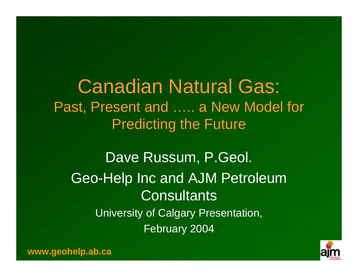Canadian Natural Gas: Past, Present and ..... a New Model for Predicting the Future

Dave Russum, P.Geol. Geo-Help Inc and AJM Petroleum **Consultants** University of Calgary Presentation, February 2004

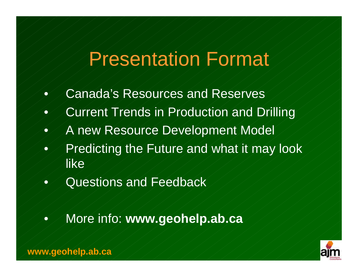#### Presentation Format

- Canada's Resources and Reserves
- Current Trends in Production and Drilling
- A new Resource Development Model
- Predicting the Future and what it may look like
- Questions and Feedback
- More info: **www.geohelp.ab.ca**

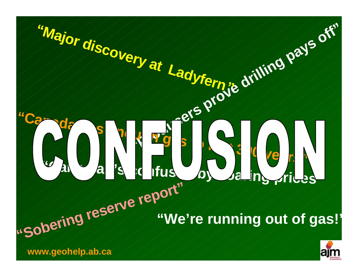

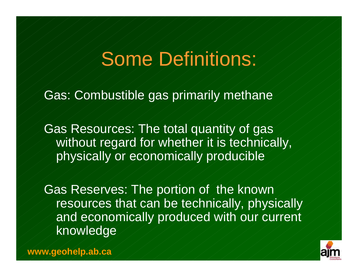### Some Definitions:

Gas: Combustible gas primarily methane

Gas Resources: The total quantity of gas without regard for whether it is technically, physically or economically producible

Gas Reserves: The portion of the known resources that can be technically, physically and economically produced with our current knowledge

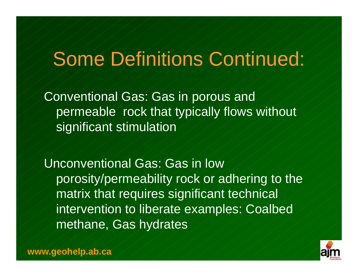### Some Definitions Continued:

Conventional Gas: Gas in porous and permeable rock that typically flows without significant stimulation

Unconventional Gas: Gas in low porosity/permeability rock or adhering to the matrix that requires significant technical intervention to liberate examples: Coalbed methane, Gas hydrates

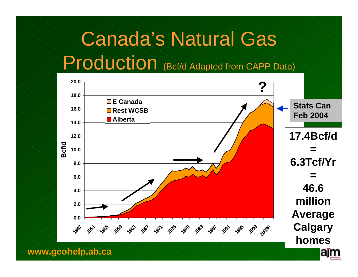### Canada's Natural Gas

#### Production (Bcf/d Adapted from CAPP Data)



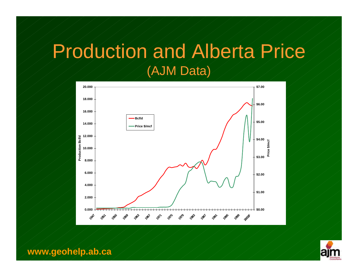#### Production and Alberta Price (AJM Data)



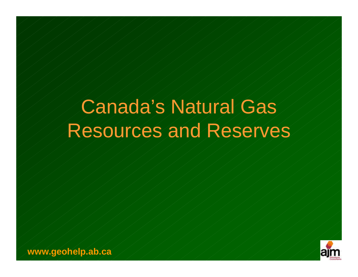### Canada's Natural Gas Resources and Reserves

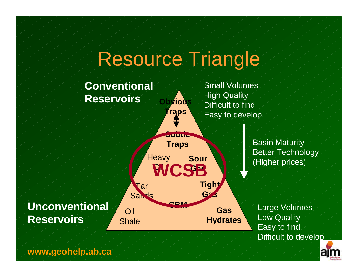### Resource Triangle



Basin Maturity Better Technology

Large Volumes Low Quality Easy to find Difficult to develop

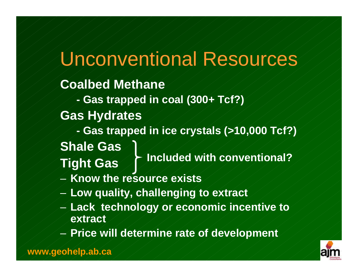#### Unconventional Resources

#### **Coalbed Methane**

- **- Gas trapped in coal (300+ Tcf?)**
- **Gas Hydrates**
- **- Gas trapped in ice crystals (>10,000 Tcf?) Shale Gas**
- **Tight Gas Included with conventional?**
- **Know the resource exists**
- **Low quality, challenging to extract**
- **Lack technology or economic incentive to extract**
- **Price will determine rate of development**

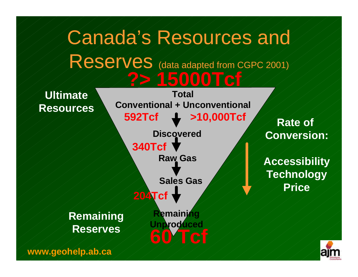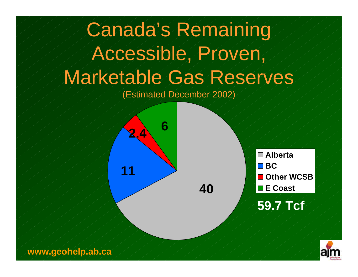# Canada's Remaining Accessible, Proven, Marketable Gas Reserves

(Estimated December 2002)





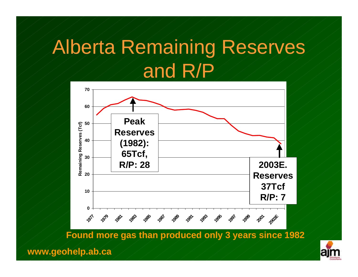### Alberta Remaining Reserves and R/P



**Found more gas than produced only 3 years since 1982**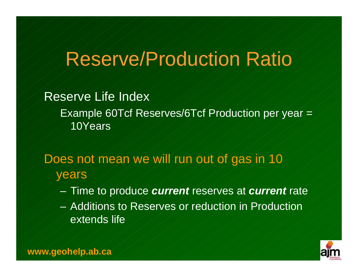### Reserve/Production Ratio

Reserve Life Index Example 60Tcf Reserves/6Tcf Production per year = 10Years

Does not mean we will run out of gas in 10 years

- Time to produce *current* reserves at *current* rate
- Additions to Reserves or reduction in Production extends life

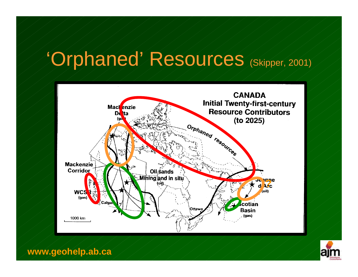### 'Orphaned' Resources (Skipper, 2001)



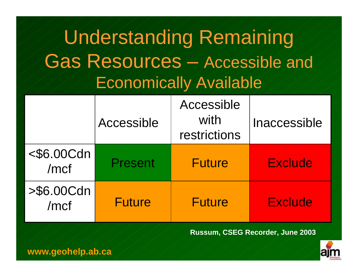### Understanding Remaining Gas Resources – Accessible and Economically Available

|                       | Accessible     | Accessible<br>with<br>restrictions | Inaccessible   |  |
|-----------------------|----------------|------------------------------------|----------------|--|
| $<$ \$6.00Cdn<br>/mcf | <b>Present</b> | <b>Future</b>                      | <b>Exclude</b> |  |
| $> $6.00C$ dn<br>/mcf | <b>Future</b>  | <b>Future</b>                      | <b>Exclude</b> |  |

**Russum, CSEG Recorder, June 2003**



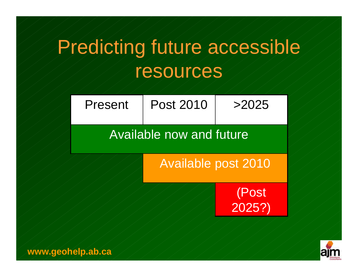### Predicting future accessible resources

| Present                         | <b>Post 2010</b> | >2025        |  |  |  |  |
|---------------------------------|------------------|--------------|--|--|--|--|
| <b>Available now and future</b> |                  |              |  |  |  |  |
| <b>Available post 2010</b>      |                  |              |  |  |  |  |
|                                 |                  | (Post 2025?) |  |  |  |  |
|                                 |                  |              |  |  |  |  |

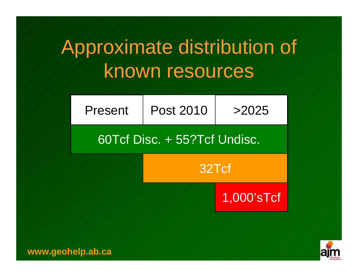### Approximate distribution of known resources

| Post 2010<br>Present         |  | >2025 |  |  |  |  |  |
|------------------------------|--|-------|--|--|--|--|--|
| 60Tcf Disc. + 55?Tcf Undisc. |  |       |  |  |  |  |  |
| 32Tcf                        |  |       |  |  |  |  |  |



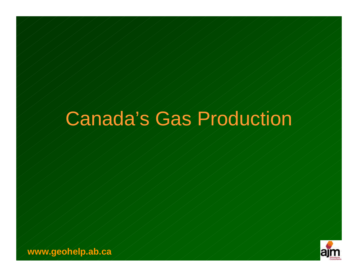### Canada's Gas Production

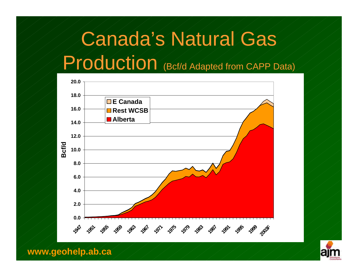### Canada's Natural Gas

#### Production (Bcf/d Adapted from CAPP Data)



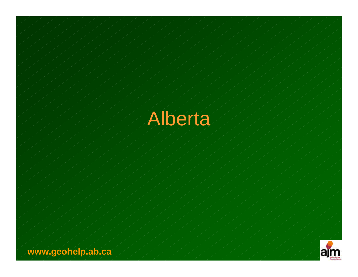

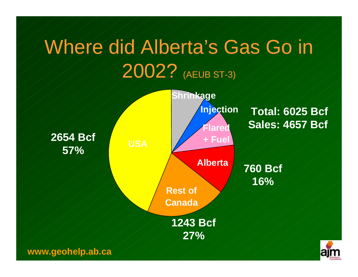### Where did Alberta's Gas Go in 2002? (AEUB ST-3)

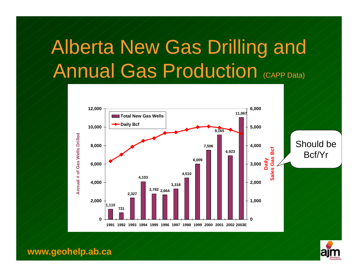### Alberta New Gas Drilling and Annual Gas Production (CAPP Data)



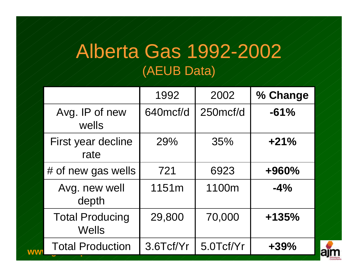#### Alberta Gas 1992-2002 (AEUB Data)

|    |                                        | 1992      | 2002      | % Change |
|----|----------------------------------------|-----------|-----------|----------|
|    | Avg. IP of new<br>wells                | 640mcf/d  | 250mcf/d  | $-61%$   |
|    | First year decline<br>rate             | 29%       | 35%       | $+21%$   |
|    | # of new gas wells                     | 721       | 6923      | +960%    |
|    | Avg. new well<br>depth                 | 1151m     | 1100m     | $-4%$    |
|    | <b>Total Producing</b><br><b>Wells</b> | 29,800    | 70,000    | $+135%$  |
| WW | <b>Total Production</b>                | 3.6Tcf/Yr | 5.0Tcf/Yr | $+39%$   |

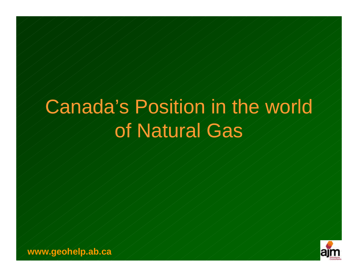# Canada's Position in the world of Natural Gas

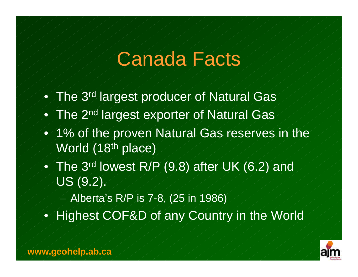#### Canada Facts

- The 3rd largest producer of Natural Gas
- **The 2nd largest exporter of Natural Gas**
- 1% of the proven Natural Gas reserves in the World (18<sup>th</sup> place)
- The 3rd lowest R/P (9.8) after UK (6.2) and US (9.2).
	- Alberta's R/P is 7-8, (25 in 1986)
- Highest COF&D of any Country in the World

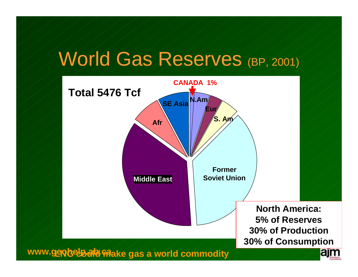### World Gas Reserves (BP, 2001)

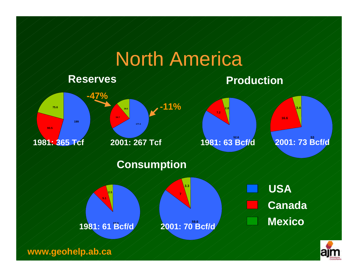### North America



a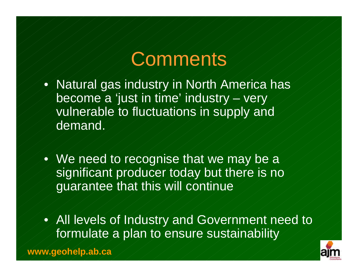#### Comments

- Natural gas industry in North America has become a 'just in time' industry – very vulnerable to fluctuations in supply and demand.
- We need to recognise that we may be a significant producer today but there is no guarantee that this will continue
- All levels of Industry and Government need to formulate a plan to ensure sustainability

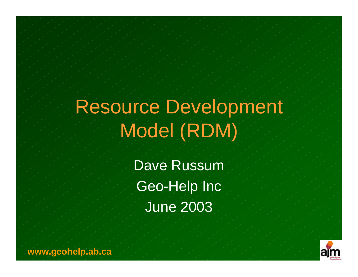# Resource Development Model (RDM)

Dave Russum Geo-Help Inc June 2003

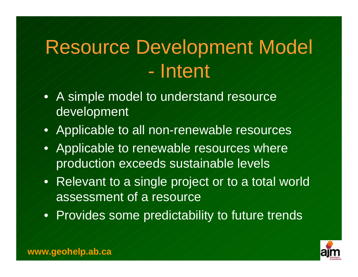### Resource Development Model - Intent

- A simple model to understand resource development
- Applicable to all non-renewable resources
- Applicable to renewable resources where production exceeds sustainable levels
- Relevant to a single project or to a total world assessment of a resource
- Provides some predictability to future trends

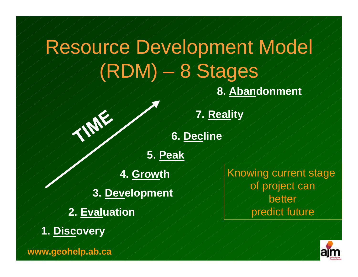### Resource Development Model (RDM) – 8 Stages

**8. Abandonment**

**7. Reality**

**6. Decline**

**5. Peak**

**4. Growth**

**3. Development**

- **2. Evaluation**
- **1. Discovery**

**www.geohelp.ab.ca**

Knowing current stage of project can better predict future

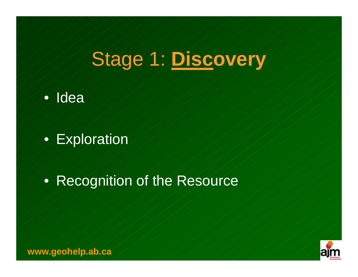### Stage 1: **Discovery**



**Exploration** 

#### • Recognition of the Resource

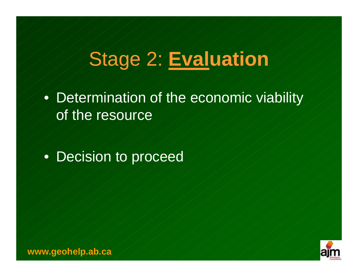### Stage 2: **Evaluation**

• Determination of the economic viability of the resource

#### • Decision to proceed

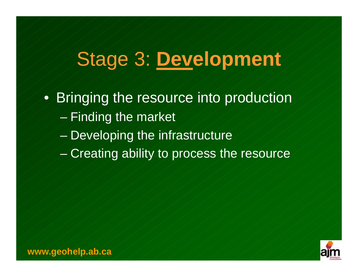### Stage 3: **Development**

- Bringing the resource into production
	- $-$  Finding the market
	- Developing the infrastructure
	- Creating ability to process the resource

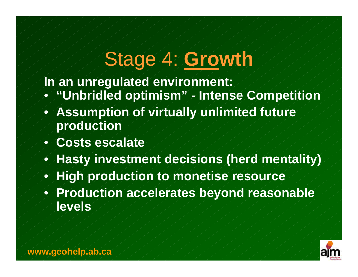#### Stage 4: **Growth**

**In an unregulated environment:** 

- **"Unbridled optimism" - Intense Competition**
- **Assumption of virtually unlimited future production**
- **Costs escalate**
- **Hasty investment decisions (herd mentality)**
- **High production to monetise resource**
- **Production accelerates beyond reasonable levels**

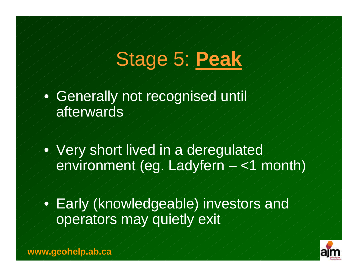# Stage 5: **Peak**

Generally not recognised until afterwards

• Very short lived in a deregulated environment (eg. Ladyfern – <1 month)

• Early (knowledgeable) investors and operators may quietly exit

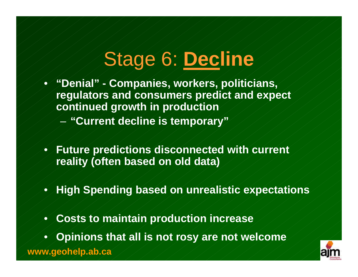## Stage 6: **Decline**

• **"Denial" - Companies, workers, politicians, regulators and consumers predict and expect continued growth in production**

- **"Current decline is temporary"**
- **Future predictions disconnected with current reality (often based on old data)**
- **High Spending based on unrealistic expectations**
- **Costs to maintain production increase**
- **Opinions that all is not rosy are not welcome**

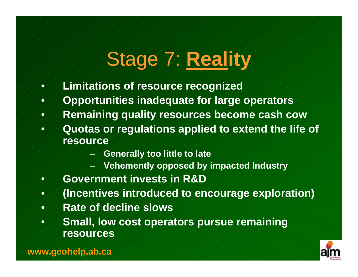# Stage 7: **Reality**

- **Limitations of resource recognized**
- **Opportunities inadequate for large operators**
- **Remaining quality resources become cash cow**
- **Quotas or regulations applied to extend the life of resource** 
	- **Generally too little to late**
	- **Vehemently opposed by impacted Industry**
	- **Government invests in R&D**
- **(Incentives introduced to encourage exploration)**
- **Rate of decline slows**
- **Small, low cost operators pursue remaining resources**

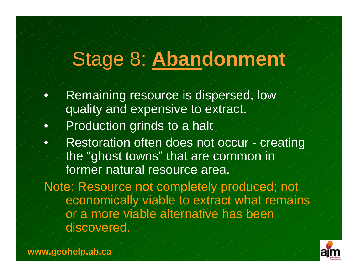#### Stage 8: **Abandonment**

- Remaining resource is dispersed, low quality and expensive to extract.
- Production grinds to a halt
- Restoration often does not occur creating the "ghost towns" that are common in former natural resource area.

Note: Resource not completely produced; not economically viable to extract what remains or a more viable alternative has been discovered.

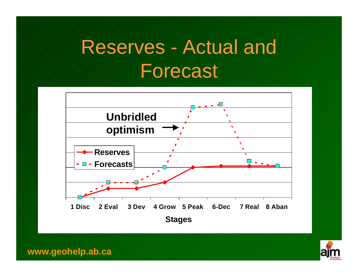# Reserves - Actual and Forecast



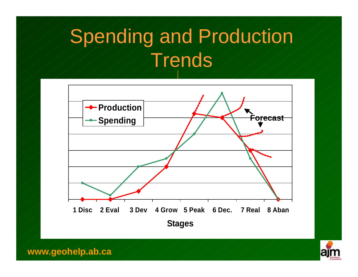# Spending and Production Trends



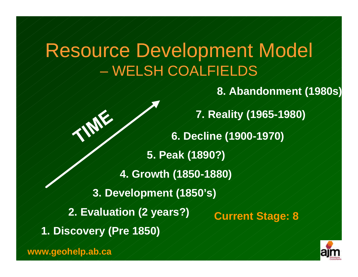#### Resource Development Model – WELSH COALFIELDS

**8. Abandonment (1980s)**

**1. Discovery (Pre 1850) 2. Evaluation (2 years?) 3. Development (1850's) 4. Growth (1850-1880) 5. Peak (1890?) 6. Decline (1900-1970) 7. Reality (1965-1980) Current Stage: 8**

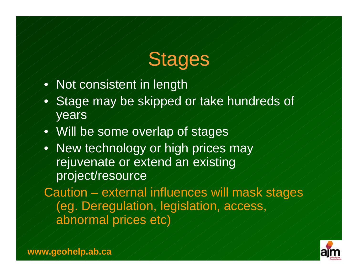## Stages

- Not consistent in length
- Stage may be skipped or take hundreds of years
- Will be some overlap of stages
- New technology or high prices may rejuvenate or extend an existing project/resource

Caution – external influences will mask stages (eg. Deregulation, legislation, access, abnormal prices etc)

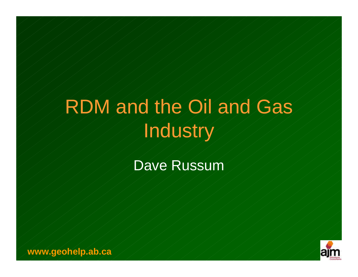# RDM and the Oil and Gas Industry

#### Dave Russum

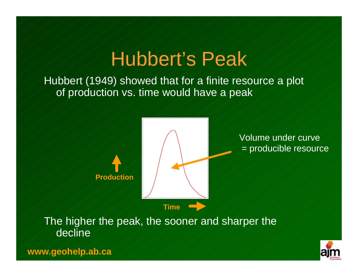### Hubbert's Peak

Hubbert (1949) showed that for a finite resource a plot of production vs. time would have a peak



Volume under curve = producible resource

**Production**

The higher the peak, the sooner and sharper the decline

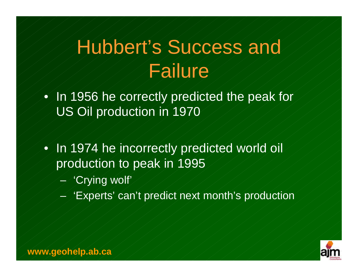# Hubbert's Success and Failure

- In 1956 he correctly predicted the peak for US Oil production in 1970
- In 1974 he incorrectly predicted world oil production to peak in 1995
	- 'Crying wolf'
		- 'Experts' can't predict next month's production

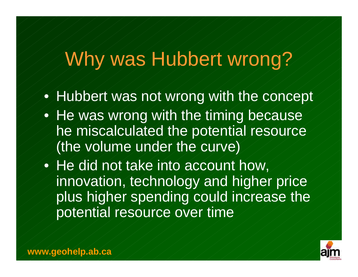# Why was Hubbert wrong?

- Hubbert was not wrong with the concept
- He was wrong with the timing because he miscalculated the potential resource (the volume under the curve)
- He did not take into account how, innovation, technology and higher price plus higher spending could increase the potential resource over time

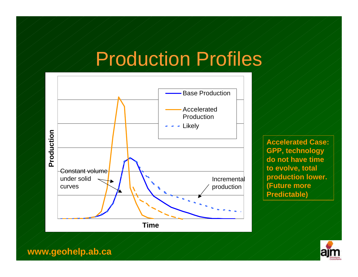# Production Profiles



**Accelerated Case: GPP, technology do not have time to evolve, total production lower. (Future more Predictable)**

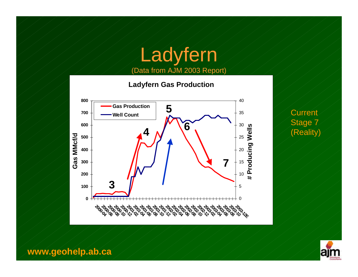#### Ladyfern (Data from AJM 2003 Report)



**Current** Stage 7

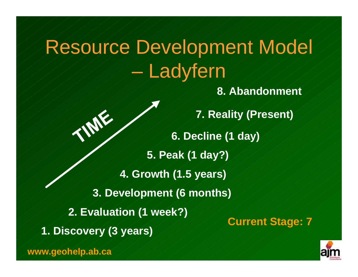# Resource Development Model **Ladyfern**

**8. Abandonment**

**1. Discovery (3 years) 2. Evaluation (1 week?) 3. Development (6 months) 4. Growth (1.5 years) 5. Peak (1 day?) 6. Decline (1 day) 7. Reality (Present) Current Stage: 7**

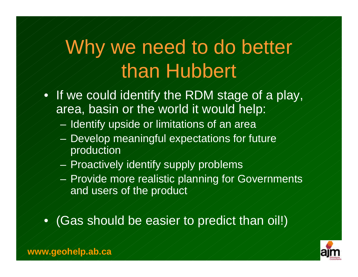# Why we need to do better than Hubbert

- If we could identify the RDM stage of a play, area, basin or the world it would help:
	- $-$  Identify upside or limitations of an area
	- Develop meaningful expectations for future production
	- Proactively identify supply problems
	- Provide more realistic planning for Governments and users of the product
- (Gas should be easier to predict than oil!)

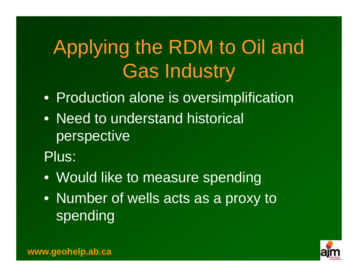# Applying the RDM to Oil and Gas Industry

- Production alone is oversimplification
- Need to understand historical perspective
- Plus:
- Would like to measure spending
- Number of wells acts as a proxy to spending

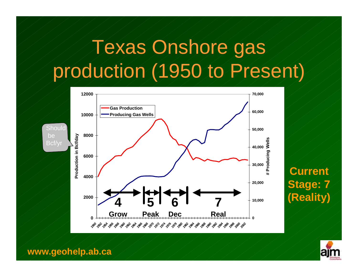# Texas Onshore gas production (1950 to Present)



#### **Current Stage: 7 (Reality) 7**

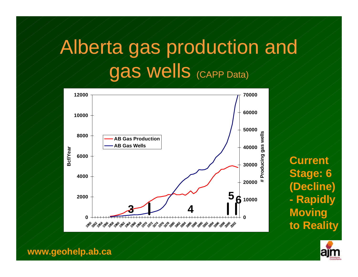# Alberta gas production and gas wells (CAPP Data)



**Current Stage: 6 (Decline) - Rapidly Moving to Reality**

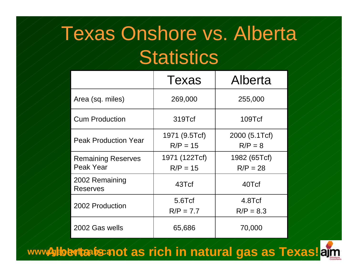### Texas Onshore vs. Alberta

#### **Statistics**

|                                        | Texas                       | Alberta                    |
|----------------------------------------|-----------------------------|----------------------------|
| Area (sq. miles)                       | 269,000                     | 255,000                    |
| <b>Cum Production</b>                  | 319Tcf                      | 109Tcf                     |
| <b>Peak Production Year</b>            | 1971 (9.5Tcf)<br>$R/P = 15$ | 2000 (5.1Tcf)<br>$R/P = 8$ |
| <b>Remaining Reserves</b><br>Peak Year | 1971 (122Tcf)<br>$R/P = 15$ | 1982 (65Tcf)<br>$R/P = 28$ |
| 2002 Remaining<br><b>Reserves</b>      | 43Tcf                       | 40Tcf                      |
| 2002 Production                        | 5.6Tcf<br>$R/P = 7.7$       | 4.8Tcf<br>$R/P = 8.3$      |
| 2002 Gas wells                         | 65,686                      | 70,000                     |

www**/siloenta is not as rich in natural gas as Texas!**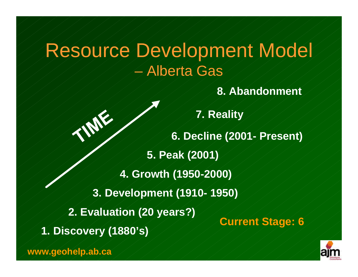#### Resource Development Model – Alberta Gas

**8. Abandonment**

**1. Discovery (1880's) 2. Evaluation (20 years?) 3. Development (1910- 1950) 4. Growth (1950-2000) 5. Peak (2001) 6. Decline (2001- Present) 7. Reality Current Stage: 6**

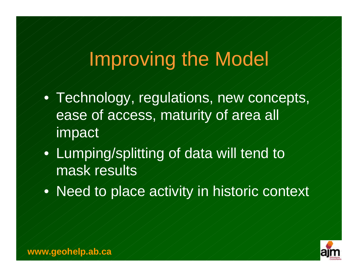#### Improving the Model

- Technology, regulations, new concepts, ease of access, maturity of area all impact
- Lumping/splitting of data will tend to mask results
- Need to place activity in historic context

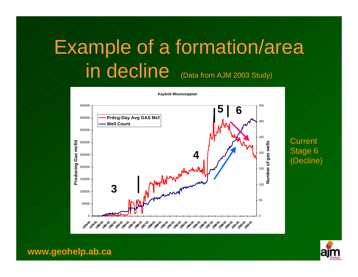# Example of a formation/area in decline (Data from AJM 2003 Study)



**Current** Stage 6 (Decline)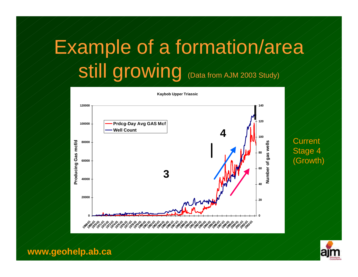# Example of a formation/area Still growing (Data from AJM 2003 Study)



**Current** Stage 4 (Growth)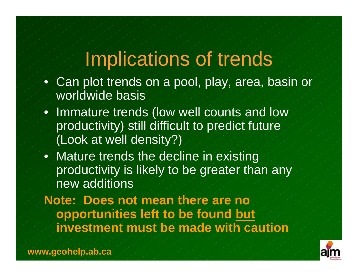#### Implications of trends

- Can plot trends on a pool, play, area, basin or worldwide basis
- Immature trends (low well counts and low productivity) still difficult to predict future (Look at well density?)
- Mature trends the decline in existing productivity is likely to be greater than any new additions

**Note: Does not mean there are no opportunities left to be found but investment must be made with caution**

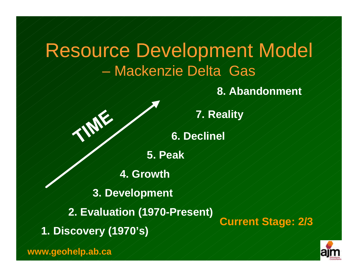#### Resource Development Model – Mackenzie Delta Gas

**8. Abandonment**

**Current Stage: 2/3**



**7. Reality**

**6. Declinel**

**5. Peak**

**4. Growth**

**3. Development**

**2. Evaluation (1970-Present)**

**1. Discovery (1970's)**

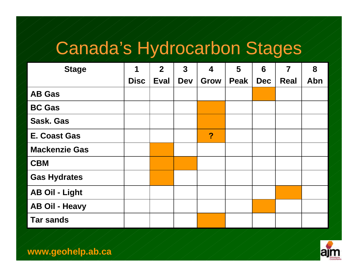## Canada's Hydrocarbon Stages

| <b>Stage</b>          | 1           | $\overline{2}$ | $\overline{3}$ | $\overline{\mathbf{4}}$ | 5           | 6          | $\overline{7}$ | 8   |  |
|-----------------------|-------------|----------------|----------------|-------------------------|-------------|------------|----------------|-----|--|
|                       | <b>Disc</b> | <b>Eval</b>    | <b>Dev</b>     | <b>Grow</b>             | <b>Peak</b> | <b>Dec</b> | <b>Real</b>    | Abn |  |
| <b>AB Gas</b>         |             |                |                |                         |             |            |                |     |  |
| <b>BC Gas</b>         |             |                |                |                         |             |            |                |     |  |
| <b>Sask. Gas</b>      |             |                |                |                         |             |            |                |     |  |
| <b>E. Coast Gas</b>   |             |                |                | ?                       |             |            |                |     |  |
| <b>Mackenzie Gas</b>  |             |                |                |                         |             |            |                |     |  |
| <b>CBM</b>            |             |                |                |                         |             |            |                |     |  |
| <b>Gas Hydrates</b>   |             |                |                |                         |             |            |                |     |  |
| <b>AB Oil - Light</b> |             |                |                |                         |             |            |                |     |  |
| <b>AB Oil - Heavy</b> |             |                |                |                         |             |            |                |     |  |
| <b>Tar sands</b>      |             |                |                |                         |             |            |                |     |  |

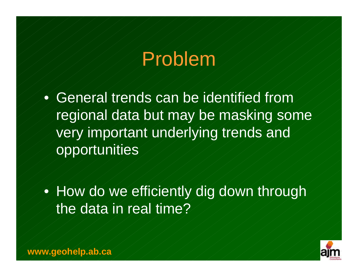### Problem

• General trends can be identified from regional data but may be masking some very important underlying trends and opportunities

• How do we efficiently dig down through the data in real time?

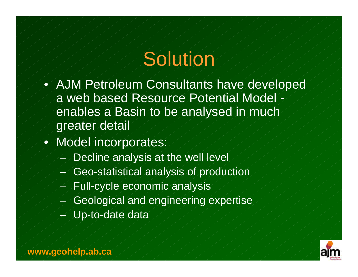#### Solution

- AJM Petroleum Consultants have developed a web based Resource Potential Model enables a Basin to be analysed in much greater detail
- Model incorporates:
	- Decline analysis at the well level
	- Geo-statistical analysis of production
	- Full-cycle economic analysis
	- Geological and engineering expertise
	- Up-to-date data

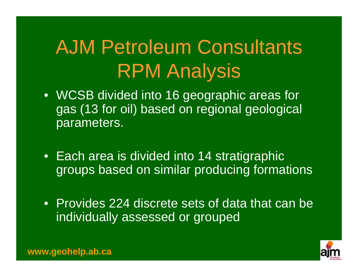# AJM Petroleum Consultants RPM Analysis

- WCSB divided into 16 geographic areas for gas (13 for oil) based on regional geological parameters.
- Each area is divided into 14 stratigraphic groups based on similar producing formations
- Provides 224 discrete sets of data that can be individually assessed or grouped

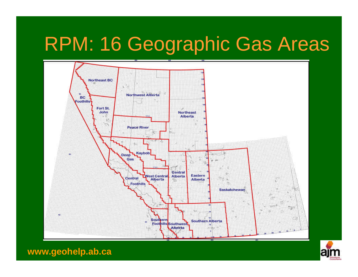# RPM: 16 Geographic Gas Areas



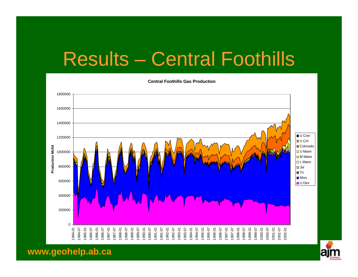# Results – Central Foothills



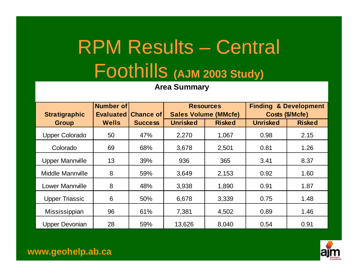# RPM Results – Central Foothills **(AJM 2003 Study)**

**Area Summary**

| <b>Stratigraphic</b>   | <b>Number of</b><br><b>Evaluated</b> | <b>Chance of</b> |                                                                 | <b>Resources</b> | <b>Finding &amp; Development</b><br>Costs (\$/Mcfe) |               |  |  |
|------------------------|--------------------------------------|------------------|-----------------------------------------------------------------|------------------|-----------------------------------------------------|---------------|--|--|
| <b>Group</b>           | <b>Wells</b>                         | <b>Success</b>   | <b>Sales Volume (MMcfe)</b><br><b>Unrisked</b><br><b>Risked</b> |                  | <b>Unrisked</b>                                     | <b>Risked</b> |  |  |
| <b>Upper Colorado</b>  | 50                                   | 47%              | 2,270                                                           | 1,067            | 0.98                                                | 2.15          |  |  |
| Colorado               | 69                                   | 68%              | 3,678                                                           | 2,501            | 0.81                                                | 1.26          |  |  |
| <b>Upper Mannville</b> | 13                                   | 39%              | 936                                                             | 365              | 3.41                                                | 8.37          |  |  |
| Middle Mannville       | 8                                    | 59%              | 3,649                                                           | 2,153            | 0.92                                                | 1.60          |  |  |
| <b>Lower Mannville</b> | 8                                    | 48%              | 3,938                                                           | 1,890            | 0.91                                                | 1.87          |  |  |
| <b>Upper Triassic</b>  | 6                                    | 50%              | 6,678                                                           | 3,339            | 0.75                                                | 1.48          |  |  |
| Mississippian          | 96                                   | 61%              | 7,381                                                           | 4,502            | 0.89                                                | 1.46          |  |  |
| <b>Upper Devonian</b>  | 28                                   | 59%              | 13,626                                                          | 8,040            | 0.54                                                | 0.91          |  |  |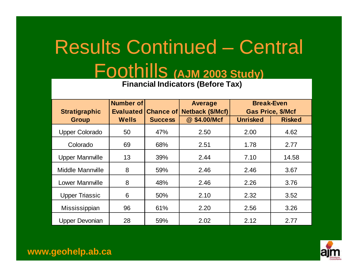# Results Continued – Central Foothills **(AJM 2003 Study)**

**Financial Indicators (Before Tax)**

| <b>Stratigraphic</b>   | <b>Number of</b><br><b>Evaluated</b> | <b>Chance of</b> | <b>Average</b><br>Netback (\$/Mcf) | <b>Break-Even</b><br><b>Gas Price, \$/Mcf</b> |               |  |  |
|------------------------|--------------------------------------|------------------|------------------------------------|-----------------------------------------------|---------------|--|--|
| <b>Group</b>           | <b>Wells</b>                         | <b>Success</b>   | @ \$4.00/Mcf                       | <b>Unrisked</b>                               | <b>Risked</b> |  |  |
| <b>Upper Colorado</b>  | 50                                   | 47%              | 2.50                               | 2.00                                          | 4.62          |  |  |
| Colorado               | 69                                   | 68%              | 2.51                               | 1.78                                          | 2.77          |  |  |
| <b>Upper Mannville</b> | 13                                   | 39%              | 2.44                               | 7.10                                          | 14.58         |  |  |
| Middle Mannville       | 8                                    | 59%              | 2.46                               | 2.46                                          | 3.67          |  |  |
| <b>Lower Mannville</b> | 8                                    | 48%              | 2.46                               | 2.26                                          | 3.76          |  |  |
| <b>Upper Triassic</b>  | 6                                    | 50%              | 2.10                               | 2.32                                          | 3.52          |  |  |
| Mississippian          | 96                                   | 61%              | 2.20                               | 2.56                                          | 3.26          |  |  |
| Upper Devonian         | 28                                   | 59%              | 2.02                               | 2.12                                          | 2.77          |  |  |

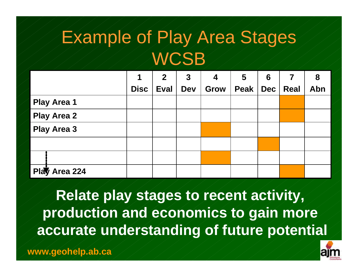#### Example of Play Area Stages **WCSB**

|                    | 1           | $\mathbf{2}$ | $\boldsymbol{3}$ | 4           | 5    | 6          |             | 8   |
|--------------------|-------------|--------------|------------------|-------------|------|------------|-------------|-----|
|                    | <b>Disc</b> | <b>Eval</b>  | <b>Dev</b>       | <b>Grow</b> | Peak | <b>Dec</b> | <b>Real</b> | Abn |
| <b>Play Area 1</b> |             |              |                  |             |      |            |             |     |
| <b>Play Area 2</b> |             |              |                  |             |      |            |             |     |
| <b>Play Area 3</b> |             |              |                  |             |      |            |             |     |
|                    |             |              |                  |             |      |            |             |     |
|                    |             |              |                  |             |      |            |             |     |
| Play Area 224      |             |              |                  |             |      |            |             |     |

**Relate play stages to recent activity, production and economics to gain more accurate understanding of future potential**

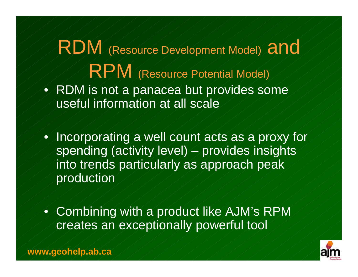#### RDM (Resource Development Model) and RPM (Resource Potential Model) • RDM is not a panacea but provides some useful information at all scale

• Incorporating a well count acts as a proxy for spending (activity level) – provides insights into trends particularly as approach peak production

• Combining with a product like AJM's RPM creates an exceptionally powerful tool

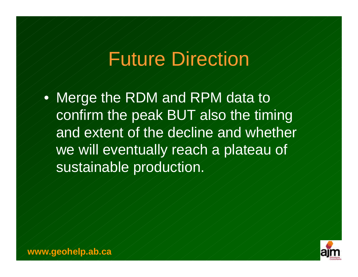#### Future Direction

• Merge the RDM and RPM data to confirm the peak BUT also the timing and extent of the decline and whether we will eventually reach a plateau of sustainable production.

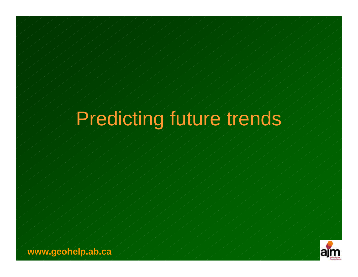# Predicting future trends

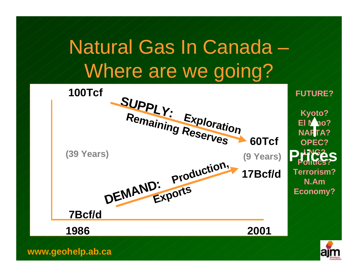### Natural Gas In Canada – Where are we going?

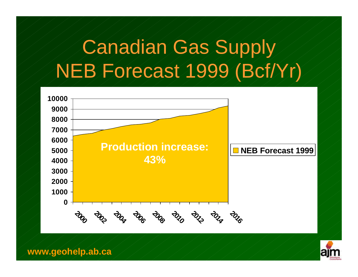## Canadian Gas Supply NEB Forecast 1999 (Bcf/Yr)



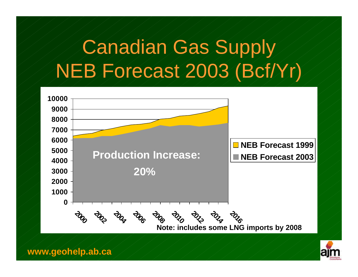### Canadian Gas Supply NEB Forecast 2003 (Bcf/Yr)



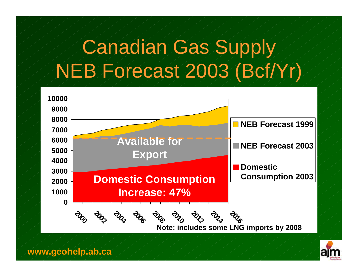### Canadian Gas Supply NEB Forecast 2003 (Bcf/Yr)



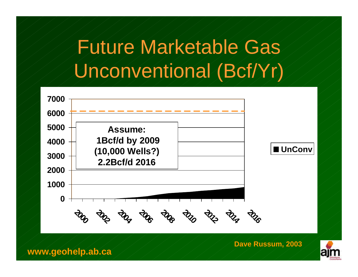### Future Marketable Gas Unconventional (Bcf/Yr)



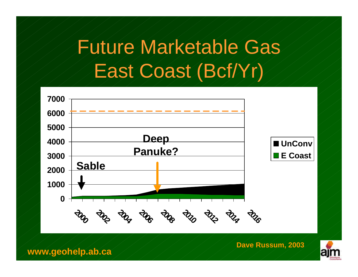## Future Marketable Gas East Coast (Bcf/Yr)



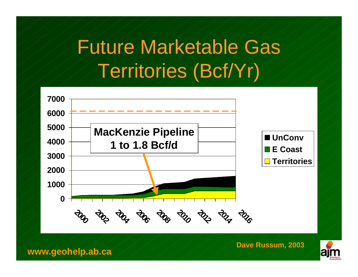#### Future Marketable Gas Territories (Bcf/Yr)



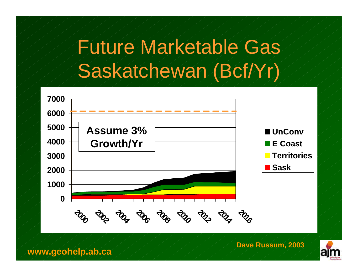### Future Marketable Gas Saskatchewan (Bcf/Yr)



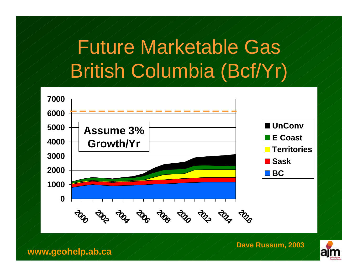## Future Marketable Gas British Columbia (Bcf/Yr)



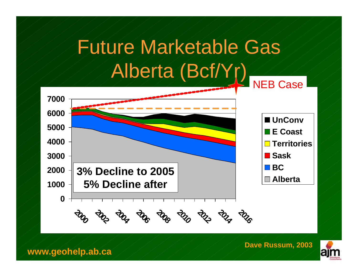## Future Marketable Gas Alberta (Bcf/Yr)



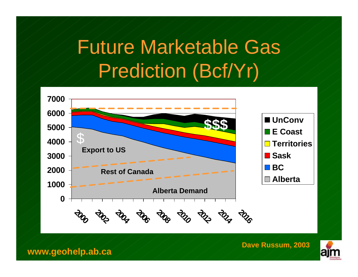#### Future Marketable Gas Prediction (Bcf/Yr)



**Dave Russum, 2003**

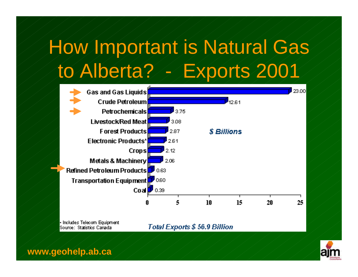## How Important is Natural Gas to Alberta? - Exports 2001



Includes Telecom Equipment Source: Statistics Canada

Total Exports \$56.9 Billion

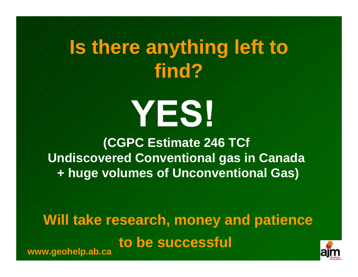## **Is there anything left to find?**



**(CGPC Estimate 246 TCf Undiscovered Conventional gas in Canada + huge volumes of Unconventional Gas)**

#### **Will take research, money and patience**

**to be successful**



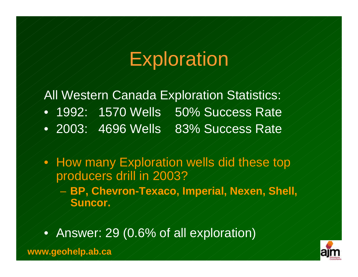#### **Exploration**

All Western Canada Exploration Statistics: • 1992: 1570 Wells 50% Success Rate • 2003: 4696 Wells 83% Success Rate

• How many Exploration wells did these top producers drill in 2003? – **BP, Chevron-Texaco, Imperial, Nexen, Shell, Suncor.**

• Answer: 29 (0.6% of all exploration)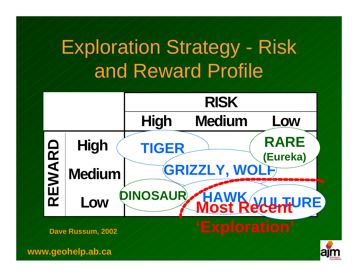## Exploration Strategy - Risk and Reward Profile





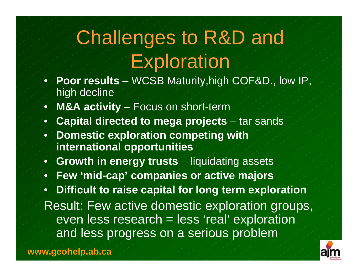# Challenges to R&D and Exploration

- **Poor results**  WCSB Maturity,high COF&D., low IP, high decline
- **M&A activity**  Focus on short-term
- **Capital directed to mega projects**  tar sands
- **Domestic exploration competing with international opportunities**
- **Growth in energy trusts**  liquidating assets
- **Few 'mid-cap' companies or active majors**

• **Difficult to raise capital for long term exploration** Result: Few active domestic exploration groups, even less research = less 'real' exploration and less progress on a serious problem

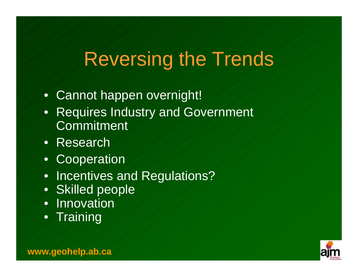#### Reversing the Trends

- Cannot happen overnight!
- Requires Industry and Government **Commitment**
- Research
- Cooperation
- Incentives and Regulations?
- Skilled people
- Innovation
- Training

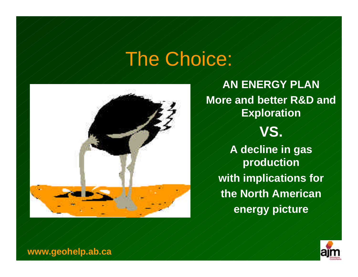#### The Choice:



**AN ENERGY PLAN More and better R&D and Exploration VS. A decline in gas production with implications for the North American energy picture**

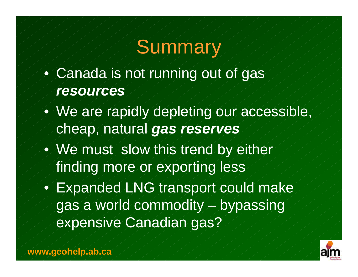#### **Summary**

- Canada is not running out of gas *resources*
- We are rapidly depleting our accessible, cheap, natural *gas reserves*
- We must slow this trend by either finding more or exporting less

Expanded LNG transport could make gas a world commodity – bypassing expensive Canadian gas?